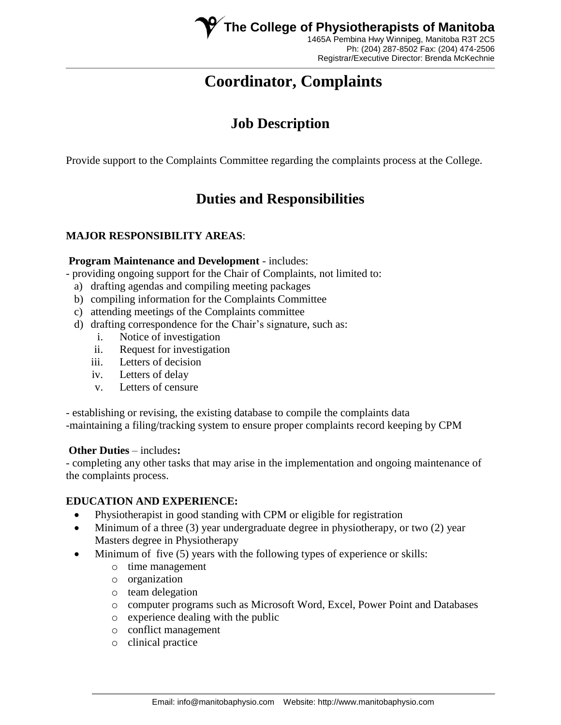

Ph: (204) 287-8502 Fax: (204) 474-2506 Registrar/Executive Director: Brenda McKechnie

# **Coordinator, Complaints**

## **Job Description**

Provide support to the Complaints Committee regarding the complaints process at the College.

## **Duties and Responsibilities**

## **MAJOR RESPONSIBILITY AREAS**:

#### **Program Maintenance and Development** - includes:

- providing ongoing support for the Chair of Complaints, not limited to:

- a) drafting agendas and compiling meeting packages
- b) compiling information for the Complaints Committee
- c) attending meetings of the Complaints committee
- d) drafting correspondence for the Chair's signature, such as:
	- i. Notice of investigation
	- ii. Request for investigation
	- iii. Letters of decision
	- iv. Letters of delay
	- v. Letters of censure

- establishing or revising, the existing database to compile the complaints data -maintaining a filing/tracking system to ensure proper complaints record keeping by CPM

#### **Other Duties** – includes**:**

- completing any other tasks that may arise in the implementation and ongoing maintenance of the complaints process.

#### **EDUCATION AND EXPERIENCE:**

- Physiotherapist in good standing with CPM or eligible for registration
- $\bullet$  Minimum of a three (3) year undergraduate degree in physiotherapy, or two (2) year Masters degree in Physiotherapy
- Minimum of five (5) years with the following types of experience or skills:
	- o time management
	- o organization
	- o team delegation
	- o computer programs such as Microsoft Word, Excel, Power Point and Databases
	- o experience dealing with the public
	- o conflict management
	- o clinical practice